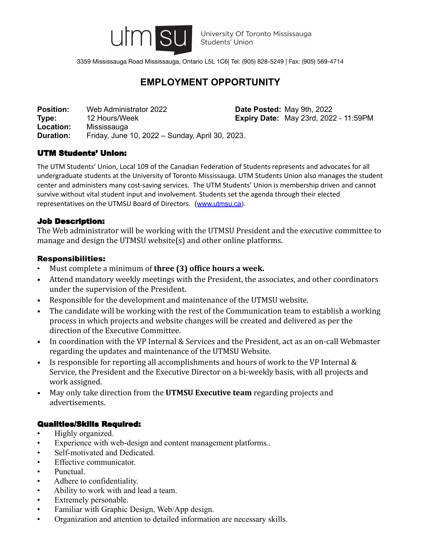

3359 Mississauga Road Mississauga, Ontario L5L 1C6| Tel: (905) 828-5249 | Fax: (905) 569-4714

# **EMPLOYMENT OPPORTUNITY**

**Position:** Web Administrator 2022 **Date Posted:** May 9th, 2022 **Type:** 12 Hours/Week **Expiry Date:** May 23rd, 2022 - 11:59PM **Location:** Mississauga **Duration:** Friday, June 10, 2022 – Sunday, April 30, 2023.

## UTM Students' Union:

The UTM Students' Union, Local 109 of the Canadian Federation of Students represents and advocates for all undergraduate students at the University of Toronto Mississauga. UTM Students Union also manages the student center and administers many cost-saving services. The UTM Students' Union is membership driven and cannot survive without vital student input and involvement. Students set the agenda through their elected representatives on the UTMSU Board of Directors. ([www.utmsu.ca](http://www.utmsu.ca)).

## Job Description:

The Web administrator will be working with the UTMSU President and the executive committee to manage and design the UTMSU website(s) and other online platforms.

## Responsibilities:

- Must complete a minimum of **three (3) office hours a week.**
- Attend mandatory weekly meetings with the President, the associates, and other coordinators under the supervision of the President.
- Responsible for the development and maintenance of the UTMSU website.
- The candidate will be working with the rest of the Communication team to establish a working process in which projects and website changes will be created and delivered as per the direction of the Executive Committee.
- In coordination with the VP Internal & Services and the President, act as an on-call Webmaster regarding the updates and maintenance of the UTMSU Website.
- Is responsible for reporting all accomplishments and hours of work to the VP Internal & Service, the President and the Executive Director on a bi-weekly basis, with all projects and work assigned.
- May only take direction from the **UTMSU Executive team** regarding projects and advertisements.

## Qualities/Skills Required:

- Highly organized.
- Experience with web-design and content management platforms..
- Self-motivated and Dedicated.
- Effective communicator.
- Punctual.
- Adhere to confidentiality.
- Ability to work with and lead a team.
- Extremely personable.
- Familiar with Graphic Design, Web/App design.
- Organization and attention to detailed information are necessary skills.